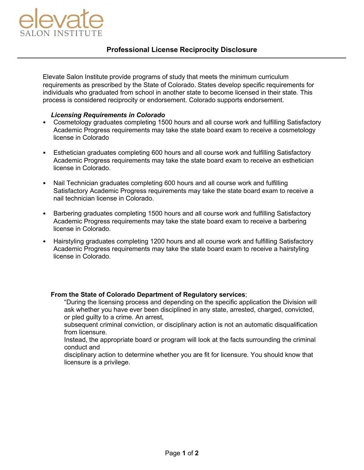

Elevate Salon Institute provide programs of study that meets the minimum curriculum requirements as prescribed by the State of Colorado. States develop specific requirements for individuals who graduated from school in another state to become licensed in their state. This process is considered reciprocity or endorsement. Colorado supports endorsement.

## *Licensing Requirements in Colorado*

- Cosmetology graduates completing 1500 hours and all course work and fulfilling Satisfactory Academic Progress requirements may take the state board exam to receive a cosmetology license in Colorado
- Esthetician graduates completing 600 hours and all course work and fulfilling Satisfactory Academic Progress requirements may take the state board exam to receive an esthetician license in Colorado.
- Nail Technician graduates completing 600 hours and all course work and fulfilling Satisfactory Academic Progress requirements may take the state board exam to receive a nail technician license in Colorado.
- Barbering graduates completing 1500 hours and all course work and fulfilling Satisfactory Academic Progress requirements may take the state board exam to receive a barbering license in Colorado.
- Hairstyling graduates completing 1200 hours and all course work and fulfilling Satisfactory Academic Progress requirements may take the state board exam to receive a hairstyling license in Colorado.

## **From the State of Colorado Department of Regulatory services**;

"During the licensing process and depending on the specific application the Division will ask whether you have ever been disciplined in any state, arrested, charged, convicted, or pled guilty to a crime. An arrest,

subsequent criminal conviction, or disciplinary action is not an automatic disqualification from licensure.

Instead, the appropriate board or program will look at the facts surrounding the criminal conduct and

disciplinary action to determine whether you are fit for licensure. You should know that licensure is a privilege.